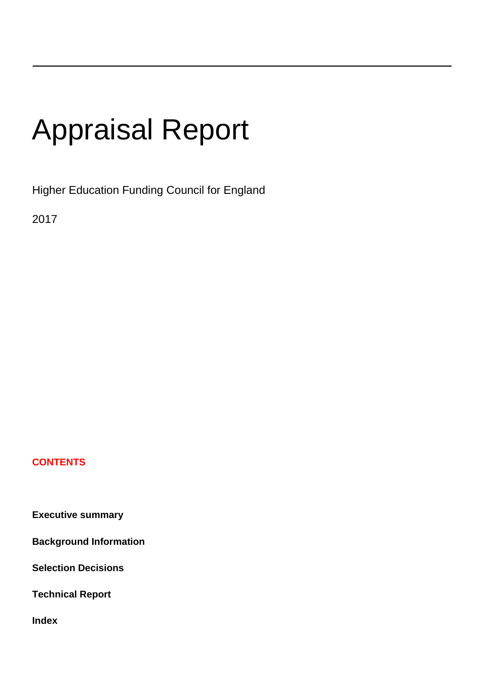# Appraisal Report

Higher Education Funding Council for England

2017

### **CONTENTS**

**Executive summary**

**Background Information**

**Selection Decisions**

**Technical Report**

**Index**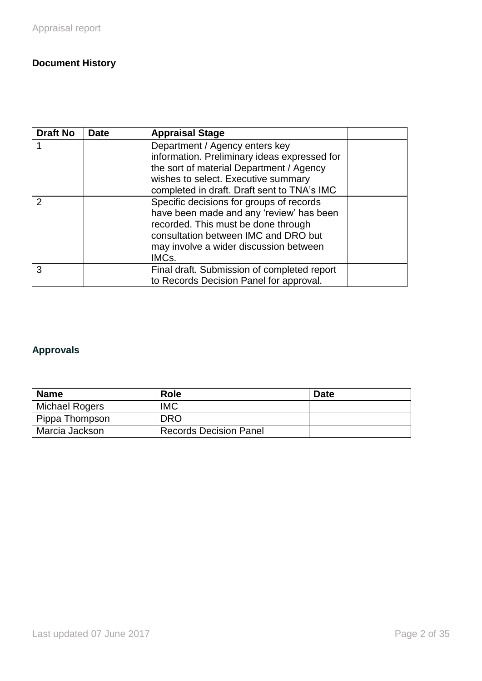# **Document History**

| <b>Draft No</b> | <b>Date</b> | <b>Appraisal Stage</b>                       |  |
|-----------------|-------------|----------------------------------------------|--|
|                 |             | Department / Agency enters key               |  |
|                 |             | information. Preliminary ideas expressed for |  |
|                 |             | the sort of material Department / Agency     |  |
|                 |             | wishes to select. Executive summary          |  |
|                 |             | completed in draft. Draft sent to TNA's IMC  |  |
| $\mathcal{P}$   |             | Specific decisions for groups of records     |  |
|                 |             | have been made and any 'review' has been     |  |
|                 |             | recorded. This must be done through          |  |
|                 |             | consultation between IMC and DRO but         |  |
|                 |             | may involve a wider discussion between       |  |
|                 |             | IMC <sub>s</sub> .                           |  |
| 3               |             | Final draft. Submission of completed report  |  |
|                 |             | to Records Decision Panel for approval.      |  |

# **Approvals**

| <b>Name</b>    | <b>Role</b>                   | <b>Date</b> |
|----------------|-------------------------------|-------------|
| Michael Rogers | <b>IMC</b>                    |             |
| Pippa Thompson | <b>DRO</b>                    |             |
| Marcia Jackson | <b>Records Decision Panel</b> |             |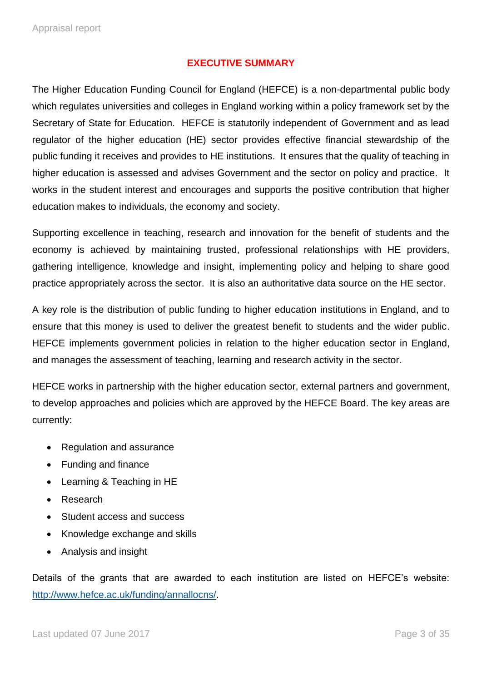#### **EXECUTIVE SUMMARY**

The Higher Education Funding Council for England (HEFCE) is a non-departmental public body which regulates universities and colleges in England working within a policy framework set by the Secretary of State for Education. HEFCE is statutorily independent of Government and as lead regulator of the higher education (HE) sector provides effective financial stewardship of the public funding it receives and provides to HE institutions. It ensures that the quality of teaching in higher education is assessed and advises Government and the sector on policy and practice. It works in the student interest and encourages and supports the positive contribution that higher education makes to individuals, the economy and society.

Supporting excellence in teaching, research and innovation for the benefit of students and the economy is achieved by maintaining trusted, professional relationships with HE providers, gathering intelligence, knowledge and insight, implementing policy and helping to share good practice appropriately across the sector. It is also an authoritative data source on the HE sector.

A key role is the distribution of public funding to higher education institutions in England, and to ensure that this money is used to deliver the greatest benefit to students and the wider public. HEFCE implements government policies in relation to the higher education sector in England, and manages the assessment of teaching, learning and research activity in the sector.

HEFCE works in partnership with the higher education sector, external partners and government, to develop approaches and policies which are approved by the HEFCE Board. The key areas are currently:

- Regulation and assurance
- Funding and finance
- Learning & Teaching in HE
- Research
- Student access and success
- Knowledge exchange and skills
- Analysis and insight

Details of the grants that are awarded to each institution are listed on HEFCE's website: [http://www.hefce.ac.uk/funding/annallocns/.](http://www.hefce.ac.uk/funding/annallocns/)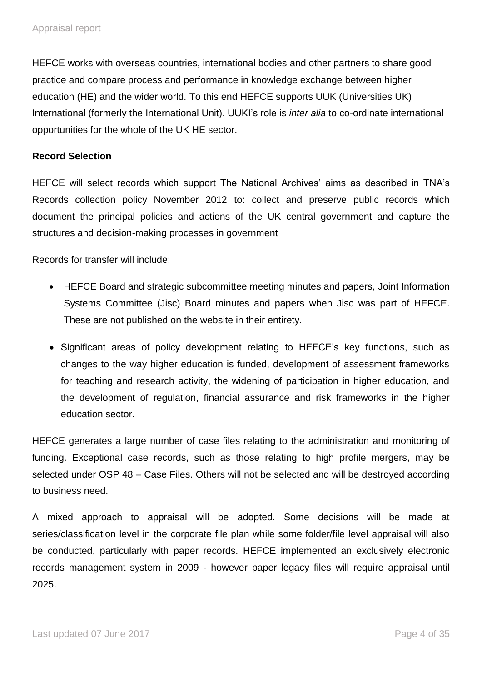HEFCE works with overseas countries, international bodies and other partners to share good practice and compare process and performance in knowledge exchange between higher education (HE) and the wider world. To this end HEFCE supports UUK (Universities UK) International (formerly the International Unit). UUKI's role is *inter alia* to co-ordinate international opportunities for the whole of the UK HE sector.

#### **Record Selection**

HEFCE will select records which support The National Archives' aims as described in TNA's Records collection policy November 2012 to: collect and preserve public records which document the principal policies and actions of the UK central government and capture the structures and decision-making processes in government

Records for transfer will include:

- HEFCE Board and strategic subcommittee meeting minutes and papers, Joint Information Systems Committee (Jisc) Board minutes and papers when Jisc was part of HEFCE. These are not published on the website in their entirety.
- Significant areas of policy development relating to HEFCE's key functions, such as changes to the way higher education is funded, development of assessment frameworks for teaching and research activity, the widening of participation in higher education, and the development of regulation, financial assurance and risk frameworks in the higher education sector.

HEFCE generates a large number of case files relating to the administration and monitoring of funding. Exceptional case records, such as those relating to high profile mergers, may be selected under OSP 48 – Case Files. Others will not be selected and will be destroyed according to business need.

A mixed approach to appraisal will be adopted. Some decisions will be made at series/classification level in the corporate file plan while some folder/file level appraisal will also be conducted, particularly with paper records. HEFCE implemented an exclusively electronic records management system in 2009 - however paper legacy files will require appraisal until 2025.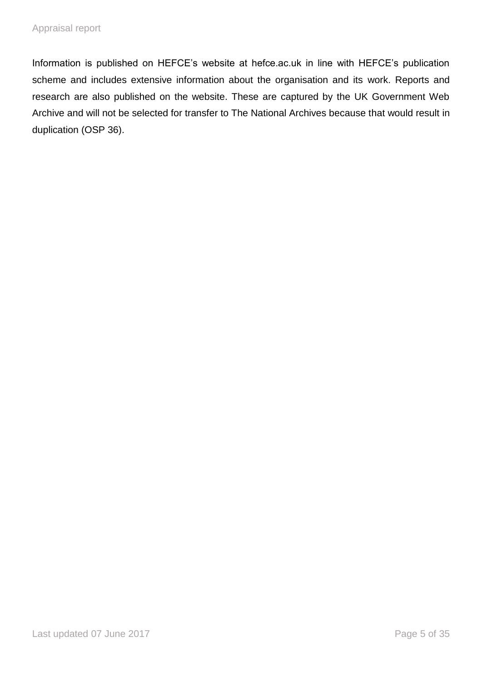Information is published on HEFCE's website at hefce.ac.uk in line with HEFCE's publication scheme and includes extensive information about the organisation and its work. Reports and research are also published on the website. These are captured by the UK Government Web Archive and will not be selected for transfer to The National Archives because that would result in duplication (OSP 36).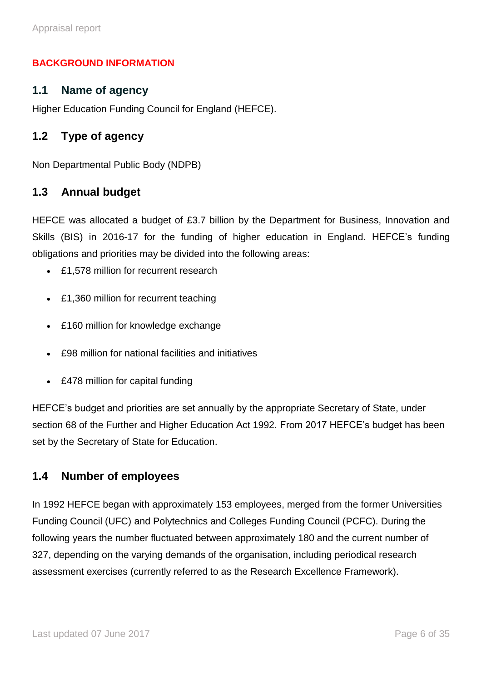#### **BACKGROUND INFORMATION**

#### **1.1 Name of agency**

Higher Education Funding Council for England (HEFCE).

## **1.2 Type of agency**

Non Departmental Public Body (NDPB)

#### **1.3 Annual budget**

HEFCE was allocated a budget of £3.7 billion by the Department for Business, Innovation and Skills (BIS) in 2016-17 for the funding of higher education in England. HEFCE's funding obligations and priorities may be divided into the following areas:

- £1,578 million for recurrent research
- £1,360 million for recurrent teaching
- £160 million for knowledge exchange
- £98 million for national facilities and initiatives
- £478 million for capital funding

HEFCE's budget and priorities are set annually by the appropriate Secretary of State, under section 68 of the Further and Higher Education Act 1992. From 2017 HEFCE's budget has been set by the Secretary of State for Education.

#### **1.4 Number of employees**

In 1992 HEFCE began with approximately 153 employees, merged from the former Universities Funding Council (UFC) and Polytechnics and Colleges Funding Council (PCFC). During the following years the number fluctuated between approximately 180 and the current number of 327, depending on the varying demands of the organisation, including periodical research assessment exercises (currently referred to as the Research Excellence Framework).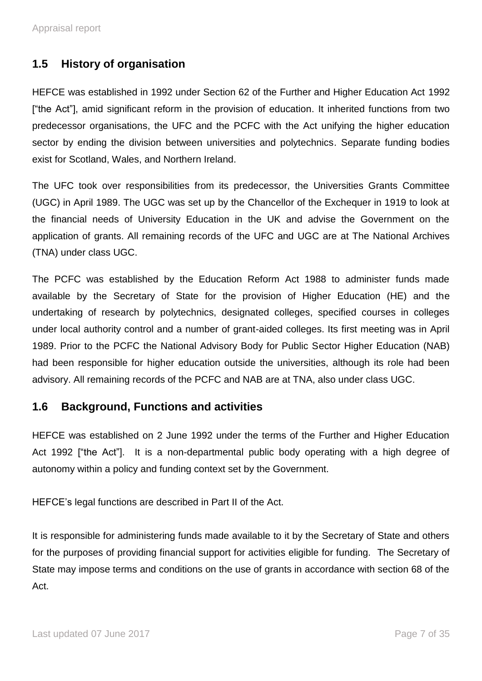## **1.5 History of organisation**

HEFCE was established in 1992 under Section 62 of the Further and Higher Education Act 1992 ["the Act"], amid significant reform in the provision of education. It inherited functions from two predecessor organisations, the UFC and the PCFC with the Act unifying the higher education sector by ending the division between universities and polytechnics. Separate funding bodies exist for Scotland, Wales, and Northern Ireland.

The UFC took over responsibilities from its predecessor, the Universities Grants Committee (UGC) in April 1989. The UGC was set up by the Chancellor of the Exchequer in 1919 to look at the financial needs of University Education in the UK and advise the Government on the application of grants. All remaining records of the UFC and UGC are at The National Archives (TNA) under class UGC.

The PCFC was established by the Education Reform Act 1988 to administer funds made available by the Secretary of State for the provision of Higher Education (HE) and the undertaking of research by polytechnics, designated colleges, specified courses in colleges under local authority control and a number of grant-aided colleges. Its first meeting was in April 1989. Prior to the PCFC the National Advisory Body for Public Sector Higher Education (NAB) had been responsible for higher education outside the universities, although its role had been advisory. All remaining records of the PCFC and NAB are at TNA, also under class UGC.

#### **1.6 Background, Functions and activities**

HEFCE was established on 2 June 1992 under the terms of the Further and Higher Education Act 1992 ["the Act"]. It is a non-departmental public body operating with a high degree of autonomy within a policy and funding context set by the Government.

HEFCE's legal functions are described in Part II of the Act.

It is responsible for administering funds made available to it by the Secretary of State and others for the purposes of providing financial support for activities eligible for funding. The Secretary of State may impose terms and conditions on the use of grants in accordance with section 68 of the Act.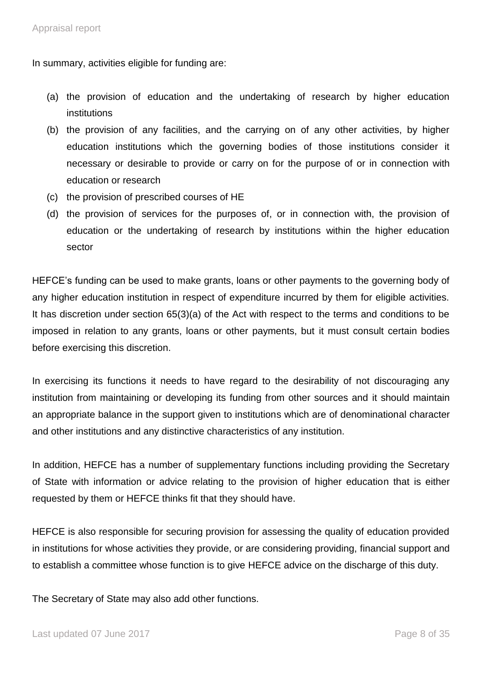In summary, activities eligible for funding are:

- (a) the provision of education and the undertaking of research by higher education institutions
- (b) the provision of any facilities, and the carrying on of any other activities, by higher education institutions which the governing bodies of those institutions consider it necessary or desirable to provide or carry on for the purpose of or in connection with education or research
- (c) the provision of prescribed courses of HE
- (d) the provision of services for the purposes of, or in connection with, the provision of education or the undertaking of research by institutions within the higher education sector

HEFCE's funding can be used to make grants, loans or other payments to the governing body of any higher education institution in respect of expenditure incurred by them for eligible activities. It has discretion under section 65(3)(a) of the Act with respect to the terms and conditions to be imposed in relation to any grants, loans or other payments, but it must consult certain bodies before exercising this discretion.

In exercising its functions it needs to have regard to the desirability of not discouraging any institution from maintaining or developing its funding from other sources and it should maintain an appropriate balance in the support given to institutions which are of denominational character and other institutions and any distinctive characteristics of any institution.

In addition, HEFCE has a number of supplementary functions including providing the Secretary of State with information or advice relating to the provision of higher education that is either requested by them or HEFCE thinks fit that they should have.

HEFCE is also responsible for securing provision for assessing the quality of education provided in institutions for whose activities they provide, or are considering providing, financial support and to establish a committee whose function is to give HEFCE advice on the discharge of this duty.

The Secretary of State may also add other functions.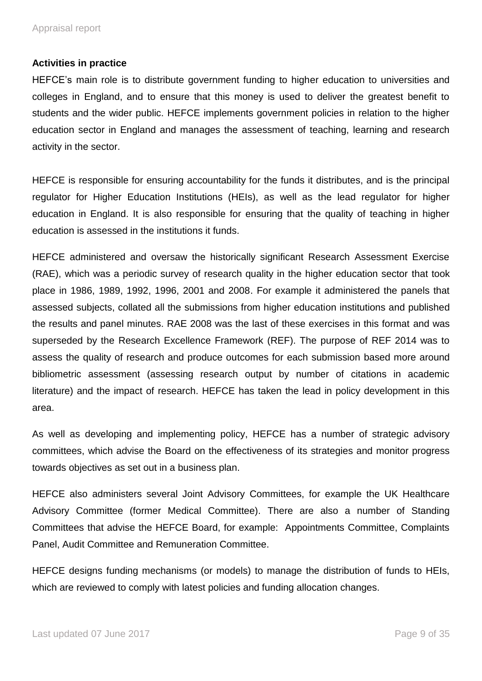#### **Activities in practice**

HEFCE's main role is to distribute government funding to higher education to universities and colleges in England, and to ensure that this money is used to deliver the greatest benefit to students and the wider public. HEFCE implements government policies in relation to the higher education sector in England and manages the assessment of teaching, learning and research activity in the sector.

HEFCE is responsible for ensuring accountability for the funds it distributes, and is the principal regulator for Higher Education Institutions (HEIs), as well as the lead regulator for higher education in England. It is also responsible for ensuring that the quality of teaching in higher education is assessed in the institutions it funds.

HEFCE administered and oversaw the historically significant Research Assessment Exercise (RAE), which was a periodic survey of research quality in the higher education sector that took place in 1986, 1989, 1992, 1996, 2001 and 2008. For example it administered the panels that assessed subjects, collated all the submissions from higher education institutions and published the results and panel minutes. RAE 2008 was the last of these exercises in this format and was superseded by the Research Excellence Framework (REF). The purpose of REF 2014 was to assess the quality of research and produce outcomes for each submission based more around bibliometric assessment (assessing research output by number of citations in academic literature) and the impact of research. HEFCE has taken the lead in policy development in this area.

As well as developing and implementing policy, HEFCE has a number of strategic advisory committees, which advise the Board on the effectiveness of its strategies and monitor progress towards objectives as set out in a business plan.

HEFCE also administers several Joint Advisory Committees, for example the UK Healthcare Advisory Committee (former Medical Committee). There are also a number of Standing Committees that advise the HEFCE Board, for example: Appointments Committee, Complaints Panel, Audit Committee and Remuneration Committee.

HEFCE designs funding mechanisms (or models) to manage the distribution of funds to HEIs, which are reviewed to comply with latest policies and funding allocation changes.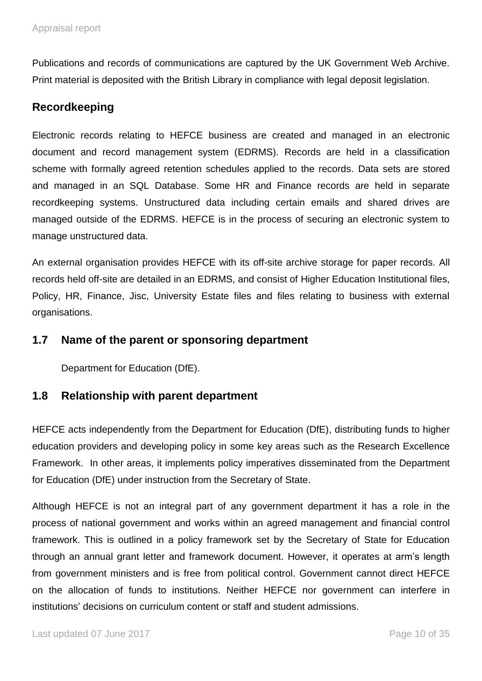Publications and records of communications are captured by the UK Government Web Archive. Print material is deposited with the British Library in compliance with legal deposit legislation.

## **Recordkeeping**

Electronic records relating to HEFCE business are created and managed in an electronic document and record management system (EDRMS). Records are held in a classification scheme with formally agreed retention schedules applied to the records. Data sets are stored and managed in an SQL Database. Some HR and Finance records are held in separate recordkeeping systems. Unstructured data including certain emails and shared drives are managed outside of the EDRMS. HEFCE is in the process of securing an electronic system to manage unstructured data.

An external organisation provides HEFCE with its off-site archive storage for paper records. All records held off-site are detailed in an EDRMS, and consist of Higher Education Institutional files, Policy, HR, Finance, Jisc, University Estate files and files relating to business with external organisations.

### **1.7 Name of the parent or sponsoring department**

Department for Education (DfE).

### **1.8 Relationship with parent department**

HEFCE acts independently from the Department for Education (DfE), distributing funds to higher education providers and developing policy in some key areas such as the Research Excellence Framework. In other areas, it implements policy imperatives disseminated from the Department for Education (DfE) under instruction from the Secretary of State.

Although HEFCE is not an integral part of any government department it has a role in the process of national government and works within an agreed management and financial control framework. This is outlined in a policy framework set by the Secretary of State for Education through an annual grant letter and framework document. However, it operates at arm's length from government ministers and is free from political control. Government cannot direct HEFCE on the allocation of funds to institutions. Neither HEFCE nor government can interfere in institutions' decisions on curriculum content or staff and student admissions.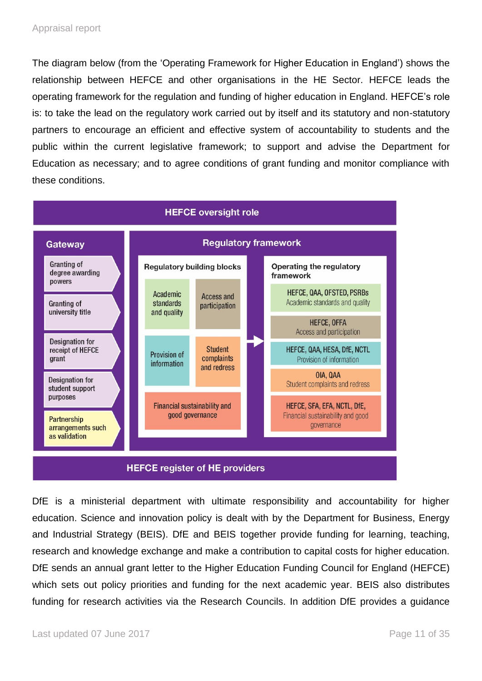The diagram below (from the 'Operating Framework for Higher Education in England') shows the relationship between HEFCE and other organisations in the HE Sector. HEFCE leads the operating framework for the regulation and funding of higher education in England. HEFCE's role is: to take the lead on the regulatory work carried out by itself and its statutory and non-statutory partners to encourage an efficient and effective system of accountability to students and the public within the current legislative framework; to support and advise the Department for Education as necessary; and to agree conditions of grant funding and monitor compliance with these conditions.



DfE is a ministerial department with ultimate responsibility and accountability for higher education. Science and innovation policy is dealt with by the Department for Business, Energy and Industrial Strategy (BEIS). DfE and BEIS together provide funding for learning, teaching, research and knowledge exchange and make a contribution to capital costs for higher education. DfE sends an annual grant letter to the Higher Education Funding Council for England (HEFCE) which sets out policy priorities and funding for the next academic year. BEIS also distributes funding for research activities via the Research Councils. In addition DfE provides a guidance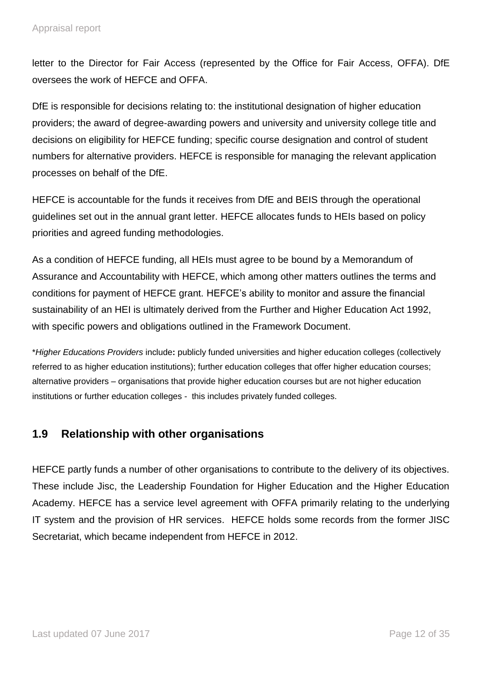letter to the Director for Fair Access (represented by the Office for Fair Access, OFFA). DfE oversees the work of HEFCE and OFFA.

DfE is responsible for decisions relating to: the institutional designation of higher education providers; the award of degree-awarding powers and university and university college title and decisions on eligibility for HEFCE funding; specific course designation and control of student numbers for alternative providers. HEFCE is responsible for managing the relevant application processes on behalf of the DfE.

HEFCE is accountable for the funds it receives from DfE and BEIS through the operational guidelines set out in the annual grant letter. HEFCE allocates funds to HEIs based on policy priorities and agreed funding methodologies.

As a condition of HEFCE funding, all HEIs must agree to be bound by a Memorandum of Assurance and Accountability with HEFCE, which among other matters outlines the terms and conditions for payment of HEFCE grant. HEFCE's ability to monitor and assure the financial sustainability of an HEI is ultimately derived from the Further and Higher Education Act 1992, with specific powers and obligations outlined in the Framework Document.

\**Higher Educations Providers* include**:** publicly funded universities and higher education colleges (collectively referred to as higher education institutions); further education colleges that offer higher education courses; alternative providers – organisations that provide higher education courses but are not higher education institutions or further education colleges - this includes privately funded colleges.

# **1.9 Relationship with other organisations**

HEFCE partly funds a number of other organisations to contribute to the delivery of its objectives. These include Jisc, the Leadership Foundation for Higher Education and the Higher Education Academy. HEFCE has a service level agreement with OFFA primarily relating to the underlying IT system and the provision of HR services. HEFCE holds some records from the former JISC Secretariat, which became independent from HEFCE in 2012.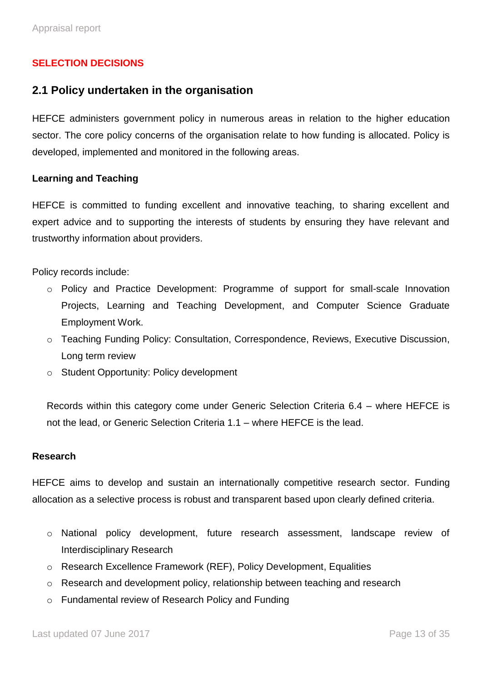#### **SELECTION DECISIONS**

#### **2.1 Policy undertaken in the organisation**

HEFCE administers government policy in numerous areas in relation to the higher education sector. The core policy concerns of the organisation relate to how funding is allocated. Policy is developed, implemented and monitored in the following areas.

#### **Learning and Teaching**

HEFCE is committed to funding excellent and innovative teaching, to sharing excellent and expert advice and to supporting the interests of students by ensuring they have relevant and trustworthy information about providers.

Policy records include:

- o Policy and Practice Development: Programme of support for small-scale Innovation Projects, Learning and Teaching Development, and Computer Science Graduate Employment Work.
- o Teaching Funding Policy: Consultation, Correspondence, Reviews, Executive Discussion, Long term review
- o Student Opportunity: Policy development

Records within this category come under Generic Selection Criteria 6.4 – where HEFCE is not the lead, or Generic Selection Criteria 1.1 – where HEFCE is the lead.

#### **Research**

HEFCE aims to develop and sustain an internationally competitive research sector. Funding allocation as a selective process is robust and transparent based upon clearly defined criteria.

- o National policy development, future research assessment, landscape review of Interdisciplinary Research
- o Research Excellence Framework (REF), Policy Development, Equalities
- o Research and development policy, relationship between teaching and research
- o Fundamental review of Research Policy and Funding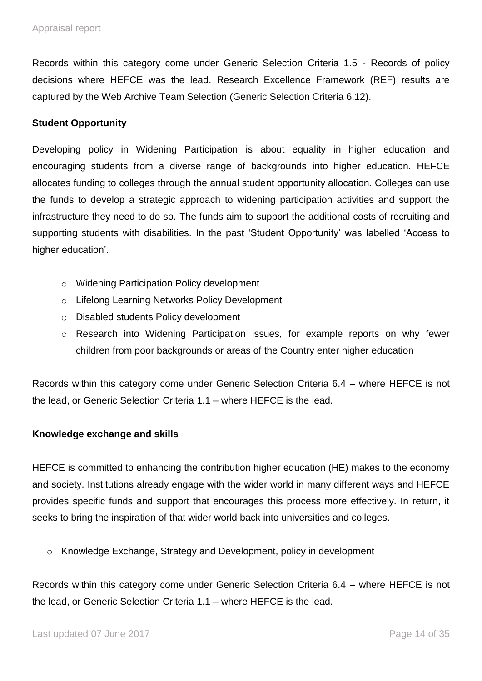Records within this category come under Generic Selection Criteria 1.5 - Records of policy decisions where HEFCE was the lead. Research Excellence Framework (REF) results are captured by the Web Archive Team Selection (Generic Selection Criteria 6.12).

#### **Student Opportunity**

Developing policy in Widening Participation is about equality in higher education and encouraging students from a diverse range of backgrounds into higher education. HEFCE allocates funding to colleges through the annual student opportunity allocation. Colleges can use the funds to develop a strategic approach to widening participation activities and support the infrastructure they need to do so. The funds aim to support the additional costs of recruiting and supporting students with disabilities. In the past 'Student Opportunity' was labelled 'Access to higher education'.

- o Widening Participation Policy development
- o Lifelong Learning Networks Policy Development
- o Disabled students Policy development
- o Research into Widening Participation issues, for example reports on why fewer children from poor backgrounds or areas of the Country enter higher education

Records within this category come under Generic Selection Criteria 6.4 – where HEFCE is not the lead, or Generic Selection Criteria 1.1 – where HEFCE is the lead.

#### **Knowledge exchange and skills**

HEFCE is committed to enhancing the contribution higher education (HE) makes to the economy and society. Institutions already engage with the wider world in many different ways and HEFCE provides specific funds and support that encourages this process more effectively. In return, it seeks to bring the inspiration of that wider world back into universities and colleges.

o Knowledge Exchange, Strategy and Development, policy in development

Records within this category come under Generic Selection Criteria 6.4 – where HEFCE is not the lead, or Generic Selection Criteria 1.1 – where HEFCE is the lead.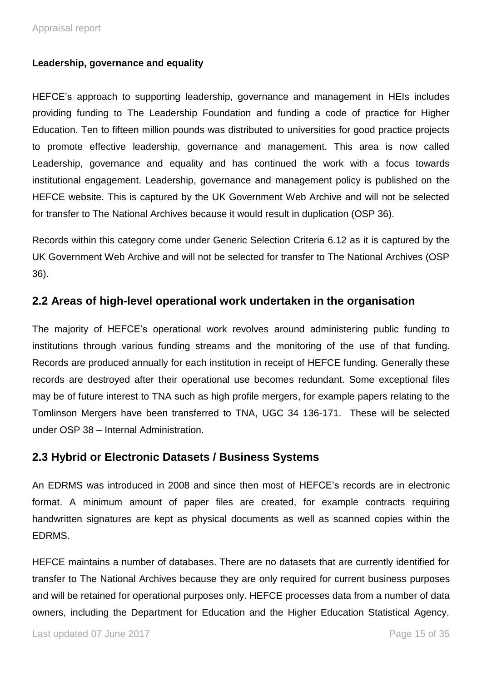#### **Leadership, governance and equality**

HEFCE's approach to supporting leadership, governance and management in HEIs includes providing funding to The Leadership Foundation and funding a code of practice for Higher Education. Ten to fifteen million pounds was distributed to universities for good practice projects to promote effective leadership, governance and management. This area is now called Leadership, governance and equality and has continued the work with a focus towards institutional engagement. Leadership, governance and management policy is published on the HEFCE website. This is captured by the UK Government Web Archive and will not be selected for transfer to The National Archives because it would result in duplication (OSP 36).

Records within this category come under Generic Selection Criteria 6.12 as it is captured by the UK Government Web Archive and will not be selected for transfer to The National Archives (OSP 36).

#### **2.2 Areas of high-level operational work undertaken in the organisation**

The majority of HEFCE's operational work revolves around administering public funding to institutions through various funding streams and the monitoring of the use of that funding. Records are produced annually for each institution in receipt of HEFCE funding. Generally these records are destroyed after their operational use becomes redundant. Some exceptional files may be of future interest to TNA such as high profile mergers, for example papers relating to the Tomlinson Mergers have been transferred to TNA, UGC 34 136-171. These will be selected under OSP 38 – Internal Administration.

#### **2.3 Hybrid or Electronic Datasets / Business Systems**

An EDRMS was introduced in 2008 and since then most of HEFCE's records are in electronic format. A minimum amount of paper files are created, for example contracts requiring handwritten signatures are kept as physical documents as well as scanned copies within the EDRMS.

HEFCE maintains a number of databases. There are no datasets that are currently identified for transfer to The National Archives because they are only required for current business purposes and will be retained for operational purposes only. HEFCE processes data from a number of data owners, including the Department for Education and the Higher Education Statistical Agency.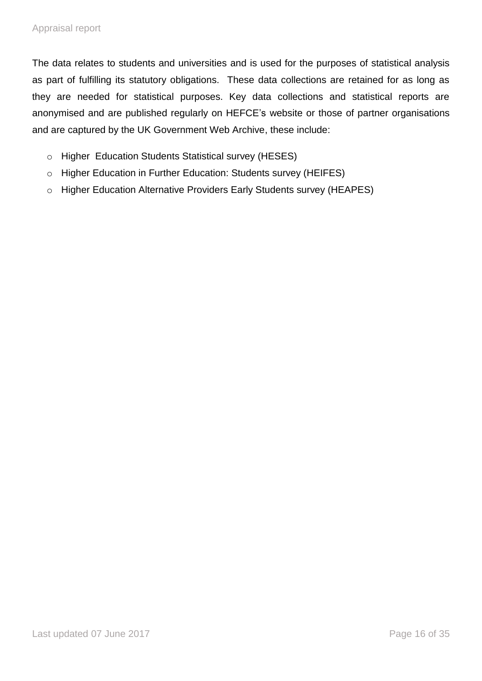The data relates to students and universities and is used for the purposes of statistical analysis as part of fulfilling its statutory obligations. These data collections are retained for as long as they are needed for statistical purposes. Key data collections and statistical reports are anonymised and are published regularly on HEFCE's website or those of partner organisations and are captured by the UK Government Web Archive, these include:

- o Higher Education Students Statistical survey (HESES)
- o Higher Education in Further Education: Students survey (HEIFES)
- o Higher Education Alternative Providers Early Students survey (HEAPES)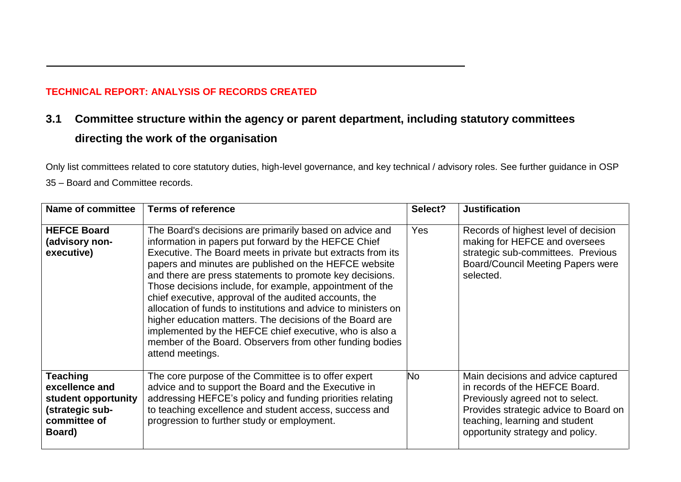#### **TECHNICAL REPORT: ANALYSIS OF RECORDS CREATED**

# **3.1 Committee structure within the agency or parent department, including statutory committees directing the work of the organisation**

Only list committees related to core statutory duties, high-level governance, and key technical / advisory roles. See further guidance in OSP

35 – Board and Committee records.

| <b>Name of committee</b>                                                                              | <b>Terms of reference</b>                                                                                                                                                                                                                                                                                                                                                                                                                                                                                                                                                                                                                                                                          | Select? | <b>Justification</b>                                                                                                                                                                                                    |
|-------------------------------------------------------------------------------------------------------|----------------------------------------------------------------------------------------------------------------------------------------------------------------------------------------------------------------------------------------------------------------------------------------------------------------------------------------------------------------------------------------------------------------------------------------------------------------------------------------------------------------------------------------------------------------------------------------------------------------------------------------------------------------------------------------------------|---------|-------------------------------------------------------------------------------------------------------------------------------------------------------------------------------------------------------------------------|
| <b>HEFCE Board</b><br>(advisory non-<br>executive)                                                    | The Board's decisions are primarily based on advice and<br>information in papers put forward by the HEFCE Chief<br>Executive. The Board meets in private but extracts from its<br>papers and minutes are published on the HEFCE website<br>and there are press statements to promote key decisions.<br>Those decisions include, for example, appointment of the<br>chief executive, approval of the audited accounts, the<br>allocation of funds to institutions and advice to ministers on<br>higher education matters. The decisions of the Board are<br>implemented by the HEFCE chief executive, who is also a<br>member of the Board. Observers from other funding bodies<br>attend meetings. | Yes     | Records of highest level of decision<br>making for HEFCE and oversees<br>strategic sub-committees. Previous<br><b>Board/Council Meeting Papers were</b><br>selected.                                                    |
| <b>Teaching</b><br>excellence and<br>student opportunity<br>(strategic sub-<br>committee of<br>Board) | The core purpose of the Committee is to offer expert<br>advice and to support the Board and the Executive in<br>addressing HEFCE's policy and funding priorities relating<br>to teaching excellence and student access, success and<br>progression to further study or employment.                                                                                                                                                                                                                                                                                                                                                                                                                 | No      | Main decisions and advice captured<br>in records of the HEFCE Board.<br>Previously agreed not to select.<br>Provides strategic advice to Board on<br>teaching, learning and student<br>opportunity strategy and policy. |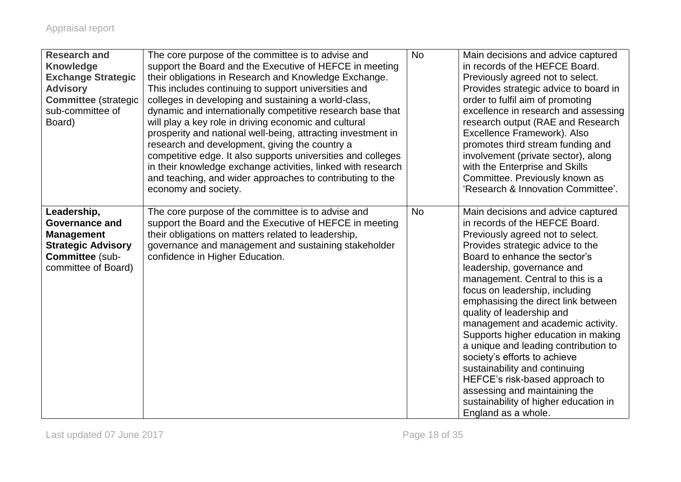| <b>Research and</b><br><b>Knowledge</b><br><b>Exchange Strategic</b><br><b>Advisory</b><br><b>Committee (strategic</b><br>sub-committee of<br>Board) | The core purpose of the committee is to advise and<br>support the Board and the Executive of HEFCE in meeting<br>their obligations in Research and Knowledge Exchange.<br>This includes continuing to support universities and<br>colleges in developing and sustaining a world-class,<br>dynamic and internationally competitive research base that<br>will play a key role in driving economic and cultural<br>prosperity and national well-being, attracting investment in<br>research and development, giving the country a<br>competitive edge. It also supports universities and colleges<br>in their knowledge exchange activities, linked with research<br>and teaching, and wider approaches to contributing to the<br>economy and society. | <b>No</b> | Main decisions and advice captured<br>in records of the HEFCE Board.<br>Previously agreed not to select.<br>Provides strategic advice to board in<br>order to fulfil aim of promoting<br>excellence in research and assessing<br>research output (RAE and Research<br>Excellence Framework). Also<br>promotes third stream funding and<br>involvement (private sector), along<br>with the Enterprise and Skills<br>Committee. Previously known as<br>'Research & Innovation Committee'.                                                                                                                                                                                       |
|------------------------------------------------------------------------------------------------------------------------------------------------------|------------------------------------------------------------------------------------------------------------------------------------------------------------------------------------------------------------------------------------------------------------------------------------------------------------------------------------------------------------------------------------------------------------------------------------------------------------------------------------------------------------------------------------------------------------------------------------------------------------------------------------------------------------------------------------------------------------------------------------------------------|-----------|-------------------------------------------------------------------------------------------------------------------------------------------------------------------------------------------------------------------------------------------------------------------------------------------------------------------------------------------------------------------------------------------------------------------------------------------------------------------------------------------------------------------------------------------------------------------------------------------------------------------------------------------------------------------------------|
| Leadership,<br><b>Governance and</b><br><b>Management</b><br><b>Strategic Advisory</b><br>Committee (sub-<br>committee of Board)                     | The core purpose of the committee is to advise and<br>support the Board and the Executive of HEFCE in meeting<br>their obligations on matters related to leadership,<br>governance and management and sustaining stakeholder<br>confidence in Higher Education.                                                                                                                                                                                                                                                                                                                                                                                                                                                                                      | <b>No</b> | Main decisions and advice captured<br>in records of the HEFCE Board.<br>Previously agreed not to select.<br>Provides strategic advice to the<br>Board to enhance the sector's<br>leadership, governance and<br>management. Central to this is a<br>focus on leadership, including<br>emphasising the direct link between<br>quality of leadership and<br>management and academic activity.<br>Supports higher education in making<br>a unique and leading contribution to<br>society's efforts to achieve<br>sustainability and continuing<br>HEFCE's risk-based approach to<br>assessing and maintaining the<br>sustainability of higher education in<br>England as a whole. |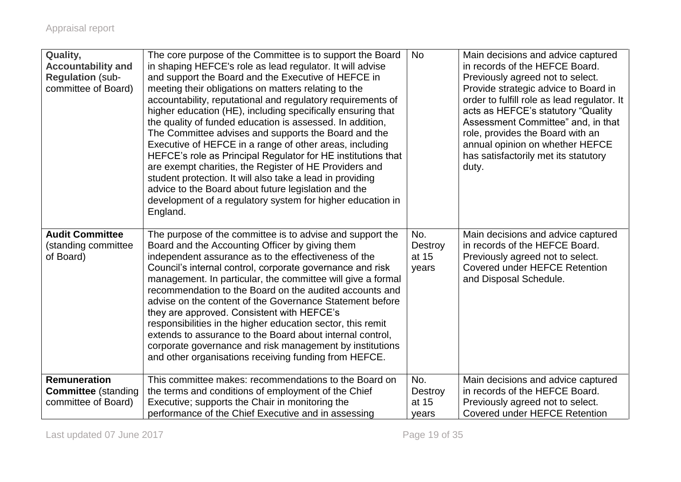| Quality,<br><b>Accountability and</b><br><b>Regulation (sub-</b><br>committee of Board) | The core purpose of the Committee is to support the Board<br>in shaping HEFCE's role as lead regulator. It will advise<br>and support the Board and the Executive of HEFCE in<br>meeting their obligations on matters relating to the<br>accountability, reputational and regulatory requirements of<br>higher education (HE), including specifically ensuring that<br>the quality of funded education is assessed. In addition,<br>The Committee advises and supports the Board and the<br>Executive of HEFCE in a range of other areas, including<br>HEFCE's role as Principal Regulator for HE institutions that<br>are exempt charities, the Register of HE Providers and<br>student protection. It will also take a lead in providing<br>advice to the Board about future legislation and the<br>development of a regulatory system for higher education in<br>England. | <b>No</b>                        | Main decisions and advice captured<br>in records of the HEFCE Board.<br>Previously agreed not to select.<br>Provide strategic advice to Board in<br>order to fulfill role as lead regulator. It<br>acts as HEFCE's statutory "Quality"<br>Assessment Committee" and, in that<br>role, provides the Board with an<br>annual opinion on whether HEFCE<br>has satisfactorily met its statutory<br>duty. |
|-----------------------------------------------------------------------------------------|------------------------------------------------------------------------------------------------------------------------------------------------------------------------------------------------------------------------------------------------------------------------------------------------------------------------------------------------------------------------------------------------------------------------------------------------------------------------------------------------------------------------------------------------------------------------------------------------------------------------------------------------------------------------------------------------------------------------------------------------------------------------------------------------------------------------------------------------------------------------------|----------------------------------|------------------------------------------------------------------------------------------------------------------------------------------------------------------------------------------------------------------------------------------------------------------------------------------------------------------------------------------------------------------------------------------------------|
| <b>Audit Committee</b><br>(standing committee<br>of Board)                              | The purpose of the committee is to advise and support the<br>Board and the Accounting Officer by giving them<br>independent assurance as to the effectiveness of the<br>Council's internal control, corporate governance and risk<br>management. In particular, the committee will give a formal<br>recommendation to the Board on the audited accounts and<br>advise on the content of the Governance Statement before<br>they are approved. Consistent with HEFCE's<br>responsibilities in the higher education sector, this remit<br>extends to assurance to the Board about internal control,<br>corporate governance and risk management by institutions<br>and other organisations receiving funding from HEFCE.                                                                                                                                                       | No.<br>Destroy<br>at 15<br>years | Main decisions and advice captured<br>in records of the HEFCE Board.<br>Previously agreed not to select.<br><b>Covered under HEFCE Retention</b><br>and Disposal Schedule.                                                                                                                                                                                                                           |
| <b>Remuneration</b><br><b>Committee</b> (standing<br>committee of Board)                | This committee makes: recommendations to the Board on<br>the terms and conditions of employment of the Chief<br>Executive; supports the Chair in monitoring the<br>performance of the Chief Executive and in assessing                                                                                                                                                                                                                                                                                                                                                                                                                                                                                                                                                                                                                                                       | No.<br>Destroy<br>at 15<br>years | Main decisions and advice captured<br>in records of the HEFCE Board.<br>Previously agreed not to select.<br>Covered under HEFCE Retention                                                                                                                                                                                                                                                            |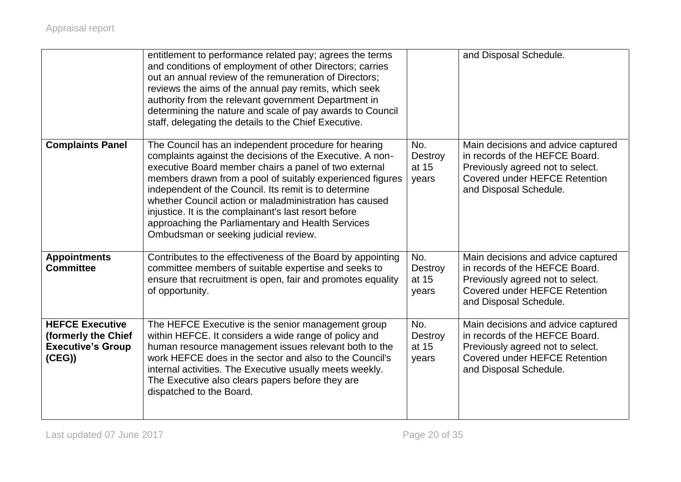|                                                                                    | entitlement to performance related pay; agrees the terms<br>and conditions of employment of other Directors; carries<br>out an annual review of the remuneration of Directors;<br>reviews the aims of the annual pay remits, which seek<br>authority from the relevant government Department in<br>determining the nature and scale of pay awards to Council<br>staff, delegating the details to the Chief Executive.                                                                                             |                                  | and Disposal Schedule.                                                                                                                                                     |
|------------------------------------------------------------------------------------|-------------------------------------------------------------------------------------------------------------------------------------------------------------------------------------------------------------------------------------------------------------------------------------------------------------------------------------------------------------------------------------------------------------------------------------------------------------------------------------------------------------------|----------------------------------|----------------------------------------------------------------------------------------------------------------------------------------------------------------------------|
| <b>Complaints Panel</b>                                                            | The Council has an independent procedure for hearing<br>complaints against the decisions of the Executive. A non-<br>executive Board member chairs a panel of two external<br>members drawn from a pool of suitably experienced figures<br>independent of the Council. Its remit is to determine<br>whether Council action or maladministration has caused<br>injustice. It is the complainant's last resort before<br>approaching the Parliamentary and Health Services<br>Ombudsman or seeking judicial review. | No.<br>Destroy<br>at 15<br>years | Main decisions and advice captured<br>in records of the HEFCE Board.<br>Previously agreed not to select.<br>Covered under HEFCE Retention<br>and Disposal Schedule.        |
| <b>Appointments</b><br><b>Committee</b>                                            | Contributes to the effectiveness of the Board by appointing<br>committee members of suitable expertise and seeks to<br>ensure that recruitment is open, fair and promotes equality<br>of opportunity.                                                                                                                                                                                                                                                                                                             | No.<br>Destroy<br>at 15<br>years | Main decisions and advice captured<br>in records of the HEFCE Board.<br>Previously agreed not to select.<br>Covered under HEFCE Retention<br>and Disposal Schedule.        |
| <b>HEFCE Executive</b><br>(formerly the Chief<br><b>Executive's Group</b><br>(CEG) | The HEFCE Executive is the senior management group<br>within HEFCE. It considers a wide range of policy and<br>human resource management issues relevant both to the<br>work HEFCE does in the sector and also to the Council's<br>internal activities. The Executive usually meets weekly.<br>The Executive also clears papers before they are<br>dispatched to the Board.                                                                                                                                       | No.<br>Destroy<br>at 15<br>years | Main decisions and advice captured<br>in records of the HEFCE Board.<br>Previously agreed not to select.<br><b>Covered under HEFCE Retention</b><br>and Disposal Schedule. |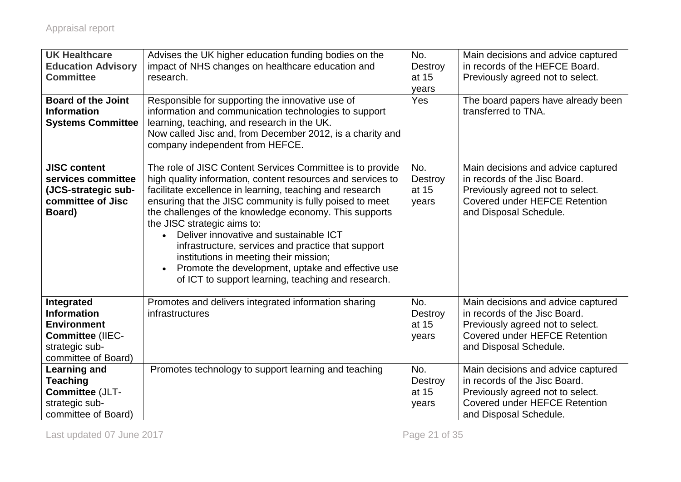| <b>UK Healthcare</b><br><b>Education Advisory</b><br><b>Committee</b>                                                      | Advises the UK higher education funding bodies on the<br>impact of NHS changes on healthcare education and<br>research.                                                                                                                                                                                                                                                                                                                                                                                                                                                                                     | No.<br>Destroy<br>at 15<br>years        | Main decisions and advice captured<br>in records of the HEFCE Board.<br>Previously agreed not to select.                                                                  |
|----------------------------------------------------------------------------------------------------------------------------|-------------------------------------------------------------------------------------------------------------------------------------------------------------------------------------------------------------------------------------------------------------------------------------------------------------------------------------------------------------------------------------------------------------------------------------------------------------------------------------------------------------------------------------------------------------------------------------------------------------|-----------------------------------------|---------------------------------------------------------------------------------------------------------------------------------------------------------------------------|
| <b>Board of the Joint</b><br><b>Information</b><br><b>Systems Committee</b>                                                | Responsible for supporting the innovative use of<br>information and communication technologies to support<br>learning, teaching, and research in the UK.<br>Now called Jisc and, from December 2012, is a charity and<br>company independent from HEFCE.                                                                                                                                                                                                                                                                                                                                                    | Yes                                     | The board papers have already been<br>transferred to TNA.                                                                                                                 |
| <b>JISC content</b><br>services committee<br>(JCS-strategic sub-<br>committee of Jisc<br>Board)                            | The role of JISC Content Services Committee is to provide<br>high quality information, content resources and services to<br>facilitate excellence in learning, teaching and research<br>ensuring that the JISC community is fully poised to meet<br>the challenges of the knowledge economy. This supports<br>the JISC strategic aims to:<br>Deliver innovative and sustainable ICT<br>infrastructure, services and practice that support<br>institutions in meeting their mission;<br>Promote the development, uptake and effective use<br>$\bullet$<br>of ICT to support learning, teaching and research. | No.<br>Destroy<br>at 15<br>years        | Main decisions and advice captured<br>in records of the Jisc Board.<br>Previously agreed not to select.<br><b>Covered under HEFCE Retention</b><br>and Disposal Schedule. |
| Integrated<br><b>Information</b><br><b>Environment</b><br><b>Committee (IIEC-</b><br>strategic sub-<br>committee of Board) | Promotes and delivers integrated information sharing<br>infrastructures                                                                                                                                                                                                                                                                                                                                                                                                                                                                                                                                     | No.<br><b>Destroy</b><br>at 15<br>years | Main decisions and advice captured<br>in records of the Jisc Board.<br>Previously agreed not to select.<br><b>Covered under HEFCE Retention</b><br>and Disposal Schedule. |
| Learning and<br><b>Teaching</b><br>Committee (JLT-<br>strategic sub-<br>committee of Board)                                | Promotes technology to support learning and teaching                                                                                                                                                                                                                                                                                                                                                                                                                                                                                                                                                        | No.<br><b>Destroy</b><br>at 15<br>years | Main decisions and advice captured<br>in records of the Jisc Board.<br>Previously agreed not to select.<br><b>Covered under HEFCE Retention</b><br>and Disposal Schedule. |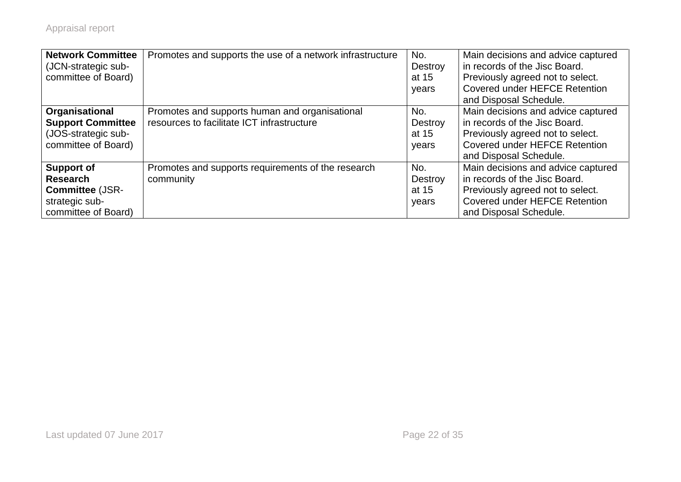| <b>Network Committee</b><br>(JCN-strategic sub-<br>committee of Board)                                  | Promotes and supports the use of a network infrastructure                                    | No.<br>Destroy<br>at 15<br>years | Main decisions and advice captured<br>in records of the Jisc Board.<br>Previously agreed not to select.<br><b>Covered under HEFCE Retention</b><br>and Disposal Schedule. |
|---------------------------------------------------------------------------------------------------------|----------------------------------------------------------------------------------------------|----------------------------------|---------------------------------------------------------------------------------------------------------------------------------------------------------------------------|
| Organisational<br><b>Support Committee</b><br>(JOS-strategic sub-<br>committee of Board)                | Promotes and supports human and organisational<br>resources to facilitate ICT infrastructure | No.<br>Destroy<br>at 15<br>years | Main decisions and advice captured<br>in records of the Jisc Board.<br>Previously agreed not to select.<br>Covered under HEFCE Retention<br>and Disposal Schedule.        |
| <b>Support of</b><br><b>Research</b><br><b>Committee (JSR-</b><br>strategic sub-<br>committee of Board) | Promotes and supports requirements of the research<br>community                              | No.<br>Destroy<br>at 15<br>years | Main decisions and advice captured<br>in records of the Jisc Board.<br>Previously agreed not to select.<br><b>Covered under HEFCE Retention</b><br>and Disposal Schedule. |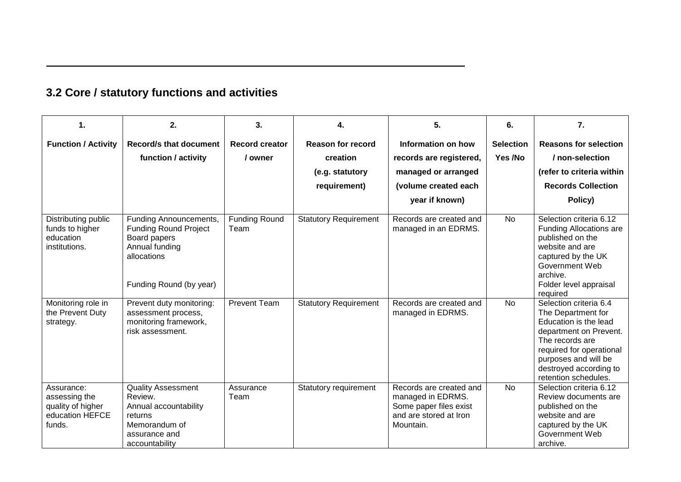| 3.2 Core / statutory functions and activities |  |
|-----------------------------------------------|--|
|-----------------------------------------------|--|

| 1.                                                                            | 2.                                                                                                                           | 3.                           | 4.                           | 5.                                                                                                            | 6.               | 7.                                                                                                                                                                                                                       |
|-------------------------------------------------------------------------------|------------------------------------------------------------------------------------------------------------------------------|------------------------------|------------------------------|---------------------------------------------------------------------------------------------------------------|------------------|--------------------------------------------------------------------------------------------------------------------------------------------------------------------------------------------------------------------------|
| <b>Function / Activity</b>                                                    | <b>Record/s that document</b>                                                                                                | <b>Record creator</b>        | <b>Reason for record</b>     | Information on how                                                                                            | <b>Selection</b> | <b>Reasons for selection</b>                                                                                                                                                                                             |
|                                                                               | function / activity                                                                                                          | / owner                      | creation                     | records are registered,                                                                                       | Yes /No          | / non-selection                                                                                                                                                                                                          |
|                                                                               |                                                                                                                              |                              | (e.g. statutory              | managed or arranged                                                                                           |                  | (refer to criteria within                                                                                                                                                                                                |
|                                                                               |                                                                                                                              |                              | requirement)                 | (volume created each                                                                                          |                  | <b>Records Collection</b>                                                                                                                                                                                                |
|                                                                               |                                                                                                                              |                              |                              | year if known)                                                                                                |                  | Policy)                                                                                                                                                                                                                  |
| Distributing public<br>funds to higher<br>education<br>institutions.          | Funding Announcements,<br><b>Funding Round Project</b><br>Board papers<br>Annual funding<br>allocations                      | <b>Funding Round</b><br>Team | <b>Statutory Requirement</b> | Records are created and<br>managed in an EDRMS.                                                               | No               | Selection criteria 6.12<br><b>Funding Allocations are</b><br>published on the<br>website and are<br>captured by the UK<br>Government Web<br>archive.                                                                     |
|                                                                               | Funding Round (by year)                                                                                                      |                              |                              |                                                                                                               |                  | Folder level appraisal<br>required                                                                                                                                                                                       |
| Monitoring role in<br>the Prevent Duty<br>strategy.                           | Prevent duty monitoring:<br>assessment process,<br>monitoring framework,<br>risk assessment.                                 | <b>Prevent Team</b>          | <b>Statutory Requirement</b> | Records are created and<br>managed in EDRMS.                                                                  | <b>No</b>        | Selection criteria 6.4<br>The Department for<br>Education is the lead<br>department on Prevent.<br>The records are<br>required for operational<br>purposes and will be<br>destroyed according to<br>retention schedules. |
| Assurance:<br>assessing the<br>quality of higher<br>education HEFCE<br>funds. | <b>Quality Assessment</b><br>Review.<br>Annual accountability<br>returns<br>Memorandum of<br>assurance and<br>accountability | Assurance<br>Team            | Statutory requirement        | Records are created and<br>managed in EDRMS.<br>Some paper files exist<br>and are stored at Iron<br>Mountain. | <b>No</b>        | Selection criteria 6.12<br>Review documents are<br>published on the<br>website and are<br>captured by the UK<br>Government Web<br>archive.                                                                               |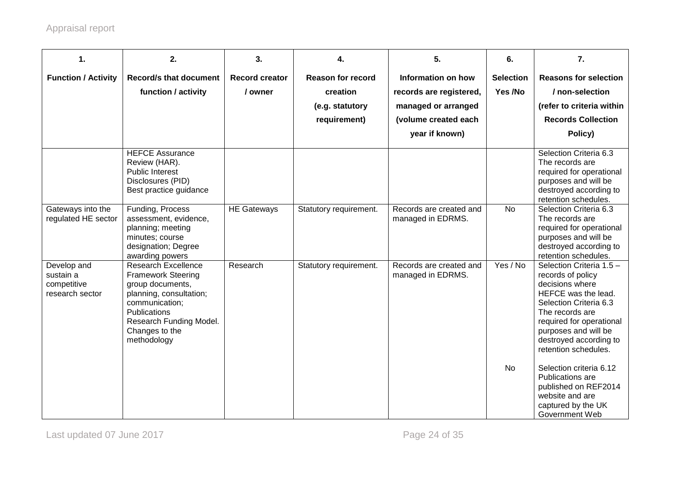| 1.                                                         | 2.                                                                                                                                                                                                          | 3.                               | 4.                                                                      | 5.                                                                                                             | 6.                          | $\overline{7}$ .                                                                                                                                                                                                                           |
|------------------------------------------------------------|-------------------------------------------------------------------------------------------------------------------------------------------------------------------------------------------------------------|----------------------------------|-------------------------------------------------------------------------|----------------------------------------------------------------------------------------------------------------|-----------------------------|--------------------------------------------------------------------------------------------------------------------------------------------------------------------------------------------------------------------------------------------|
| <b>Function / Activity</b>                                 | <b>Record/s that document</b><br>function / activity                                                                                                                                                        | <b>Record creator</b><br>/ owner | <b>Reason for record</b><br>creation<br>(e.g. statutory<br>requirement) | Information on how<br>records are registered,<br>managed or arranged<br>(volume created each<br>year if known) | <b>Selection</b><br>Yes /No | <b>Reasons for selection</b><br>/ non-selection<br>(refer to criteria within<br><b>Records Collection</b><br>Policy)                                                                                                                       |
|                                                            | <b>HEFCE Assurance</b><br>Review (HAR).<br><b>Public Interest</b><br>Disclosures (PID)<br>Best practice guidance                                                                                            |                                  |                                                                         |                                                                                                                |                             | Selection Criteria 6.3<br>The records are<br>required for operational<br>purposes and will be<br>destroyed according to<br>retention schedules.                                                                                            |
| Gateways into the<br>regulated HE sector                   | Funding, Process<br>assessment, evidence,<br>planning; meeting<br>minutes; course<br>designation; Degree<br>awarding powers                                                                                 | <b>HE Gateways</b>               | Statutory requirement.                                                  | Records are created and<br>managed in EDRMS.                                                                   | <b>No</b>                   | Selection Criteria 6.3<br>The records are<br>required for operational<br>purposes and will be<br>destroyed according to<br>retention schedules.                                                                                            |
| Develop and<br>sustain a<br>competitive<br>research sector | <b>Research Excellence</b><br><b>Framework Steering</b><br>group documents,<br>planning, consultation;<br>communication;<br><b>Publications</b><br>Research Funding Model.<br>Changes to the<br>methodology | Research                         | Statutory requirement.                                                  | Records are created and<br>managed in EDRMS.                                                                   | Yes / No                    | Selection Criteria 1.5 -<br>records of policy<br>decisions where<br>HEFCE was the lead.<br>Selection Criteria 6.3<br>The records are<br>required for operational<br>purposes and will be<br>destroyed according to<br>retention schedules. |
|                                                            |                                                                                                                                                                                                             |                                  |                                                                         |                                                                                                                | <b>No</b>                   | Selection criteria 6.12<br>Publications are<br>published on REF2014<br>website and are<br>captured by the UK<br>Government Web                                                                                                             |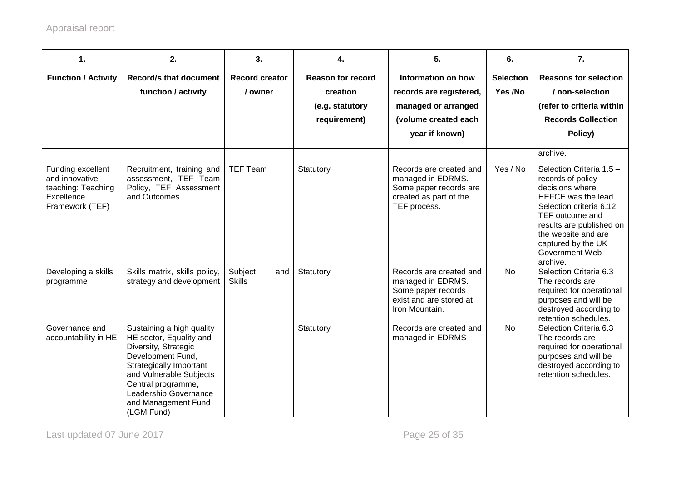| 1.                                                  | 2.                                                                                                                                                                                                                                          | 3.                               | 4.                                                      | 5.                                                                                                              | 6.                          | 7.                                                                                                                                                                                          |
|-----------------------------------------------------|---------------------------------------------------------------------------------------------------------------------------------------------------------------------------------------------------------------------------------------------|----------------------------------|---------------------------------------------------------|-----------------------------------------------------------------------------------------------------------------|-----------------------------|---------------------------------------------------------------------------------------------------------------------------------------------------------------------------------------------|
| <b>Function / Activity</b>                          | <b>Record/s that document</b><br>function / activity                                                                                                                                                                                        | <b>Record creator</b><br>/ owner | <b>Reason for record</b><br>creation<br>(e.g. statutory | Information on how<br>records are registered,<br>managed or arranged                                            | <b>Selection</b><br>Yes /No | <b>Reasons for selection</b><br>/ non-selection<br>(refer to criteria within                                                                                                                |
|                                                     |                                                                                                                                                                                                                                             |                                  | requirement)                                            | (volume created each                                                                                            |                             | <b>Records Collection</b>                                                                                                                                                                   |
|                                                     |                                                                                                                                                                                                                                             |                                  |                                                         | year if known)                                                                                                  |                             | Policy)                                                                                                                                                                                     |
| Funding excellent<br>and innovative                 | Recruitment, training and<br>assessment, TEF Team                                                                                                                                                                                           | <b>TEF Team</b>                  | Statutory                                               | Records are created and<br>managed in EDRMS.                                                                    | Yes / No                    | archive.<br>Selection Criteria 1.5 -<br>records of policy                                                                                                                                   |
| teaching: Teaching<br>Excellence<br>Framework (TEF) | Policy, TEF Assessment<br>and Outcomes                                                                                                                                                                                                      |                                  |                                                         | Some paper records are<br>created as part of the<br>TEF process.                                                |                             | decisions where<br>HEFCE was the lead.<br>Selection criteria 6.12<br>TEF outcome and<br>results are published on<br>the website and are<br>captured by the UK<br>Government Web<br>archive. |
| Developing a skills<br>programme                    | Skills matrix, skills policy,<br>strategy and development                                                                                                                                                                                   | Subject<br>and<br><b>Skills</b>  | Statutory                                               | Records are created and<br>managed in EDRMS.<br>Some paper records<br>exist and are stored at<br>Iron Mountain. | <b>No</b>                   | Selection Criteria 6.3<br>The records are<br>required for operational<br>purposes and will be<br>destroyed according to<br>retention schedules.                                             |
| Governance and<br>accountability in HE              | Sustaining a high quality<br>HE sector, Equality and<br>Diversity, Strategic<br>Development Fund,<br>Strategically Important<br>and Vulnerable Subjects<br>Central programme,<br>Leadership Governance<br>and Management Fund<br>(LGM Fund) |                                  | Statutory                                               | Records are created and<br>managed in EDRMS                                                                     | <b>No</b>                   | Selection Criteria 6.3<br>The records are<br>required for operational<br>purposes and will be<br>destroyed according to<br>retention schedules.                                             |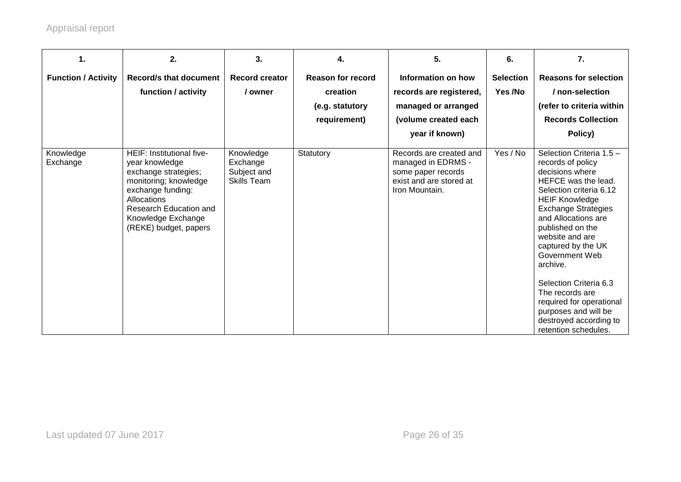| 1.                         | 2.                                                                                                                                                                                                               | 3.                                                         | 4.                                                                      | 5.                                                                                                               | 6.                          | 7.                                                                                                                                                                                                                                                                                                                                                                                                                                             |
|----------------------------|------------------------------------------------------------------------------------------------------------------------------------------------------------------------------------------------------------------|------------------------------------------------------------|-------------------------------------------------------------------------|------------------------------------------------------------------------------------------------------------------|-----------------------------|------------------------------------------------------------------------------------------------------------------------------------------------------------------------------------------------------------------------------------------------------------------------------------------------------------------------------------------------------------------------------------------------------------------------------------------------|
| <b>Function / Activity</b> | <b>Record/s that document</b><br>function / activity                                                                                                                                                             | <b>Record creator</b><br>/ owner                           | <b>Reason for record</b><br>creation<br>(e.g. statutory<br>requirement) | Information on how<br>records are registered,<br>managed or arranged<br>(volume created each<br>year if known)   | <b>Selection</b><br>Yes /No | <b>Reasons for selection</b><br>/ non-selection<br>(refer to criteria within<br><b>Records Collection</b><br>Policy)                                                                                                                                                                                                                                                                                                                           |
| Knowledge<br>Exchange      | HEIF: Institutional five-<br>year knowledge<br>exchange strategies;<br>monitoring; knowledge<br>exchange funding:<br><b>Allocations</b><br>Research Education and<br>Knowledge Exchange<br>(REKE) budget, papers | Knowledge<br>Exchange<br>Subject and<br><b>Skills Team</b> | Statutory                                                               | Records are created and<br>managed in EDRMS -<br>some paper records<br>exist and are stored at<br>Iron Mountain. | Yes / No                    | Selection Criteria 1.5 -<br>records of policy<br>decisions where<br>HEFCE was the lead.<br>Selection criteria 6.12<br><b>HEIF Knowledge</b><br><b>Exchange Strategies</b><br>and Allocations are<br>published on the<br>website and are<br>captured by the UK<br>Government Web<br>archive.<br>Selection Criteria 6.3<br>The records are<br>required for operational<br>purposes and will be<br>destroyed according to<br>retention schedules. |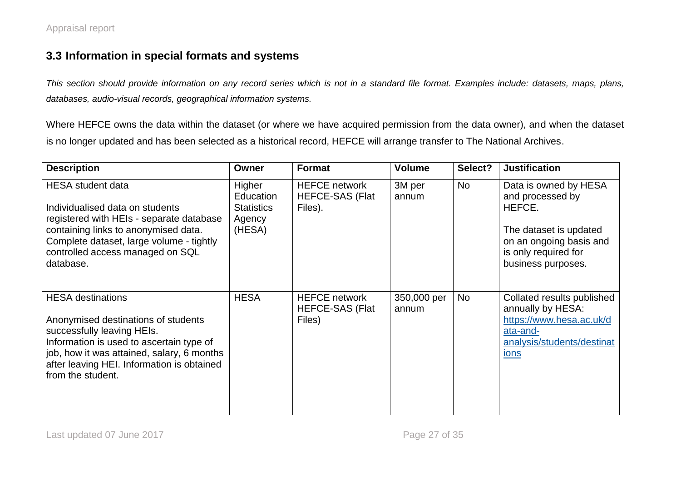### **3.3 Information in special formats and systems**

*This section should provide information on any record series which is not in a standard file format. Examples include: datasets, maps, plans, databases, audio-visual records, geographical information systems.* 

Where HEFCE owns the data within the dataset (or where we have acquired permission from the data owner), and when the dataset is no longer updated and has been selected as a historical record, HEFCE will arrange transfer to The National Archives.

| <b>Description</b>                                                                                                                                                                                                                                         | Owner                                                        | <b>Format</b>                                             | Volume               | Select?   | <b>Justification</b>                                                                                                                                   |
|------------------------------------------------------------------------------------------------------------------------------------------------------------------------------------------------------------------------------------------------------------|--------------------------------------------------------------|-----------------------------------------------------------|----------------------|-----------|--------------------------------------------------------------------------------------------------------------------------------------------------------|
| <b>HESA</b> student data<br>Individualised data on students<br>registered with HEIs - separate database<br>containing links to anonymised data.<br>Complete dataset, large volume - tightly<br>controlled access managed on SQL<br>database.               | Higher<br>Education<br><b>Statistics</b><br>Agency<br>(HESA) | <b>HEFCE network</b><br><b>HEFCE-SAS (Flat</b><br>Files). | 3M per<br>annum      | No        | Data is owned by HESA<br>and processed by<br>HEFCE.<br>The dataset is updated<br>on an ongoing basis and<br>is only required for<br>business purposes. |
| <b>HESA</b> destinations<br>Anonymised destinations of students<br>successfully leaving HEIs.<br>Information is used to ascertain type of<br>job, how it was attained, salary, 6 months<br>after leaving HEI. Information is obtained<br>from the student. | <b>HESA</b>                                                  | <b>HEFCE network</b><br><b>HEFCE-SAS (Flat</b><br>Files)  | 350,000 per<br>annum | <b>No</b> | Collated results published<br>annually by HESA:<br>https://www.hesa.ac.uk/d<br>ata-and-<br>analysis/students/destinat<br>ions                          |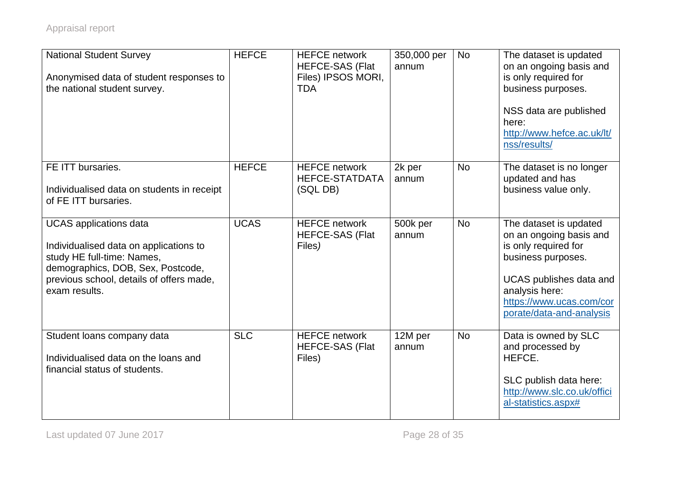| <b>National Student Survey</b><br>Anonymised data of student responses to<br>the national student survey.                                                                                               | <b>HEFCE</b> | <b>HEFCE network</b><br><b>HEFCE-SAS (Flat</b><br>Files) IPSOS MORI,<br><b>TDA</b> | 350,000 per<br>annum | <b>No</b> | The dataset is updated<br>on an ongoing basis and<br>is only required for<br>business purposes.<br>NSS data are published<br>here:<br>http://www.hefce.ac.uk/lt/<br>nss/results/                     |
|---------------------------------------------------------------------------------------------------------------------------------------------------------------------------------------------------------|--------------|------------------------------------------------------------------------------------|----------------------|-----------|------------------------------------------------------------------------------------------------------------------------------------------------------------------------------------------------------|
| FE ITT bursaries.<br>Individualised data on students in receipt<br>of FE ITT bursaries.                                                                                                                 | <b>HEFCE</b> | <b>HEFCE network</b><br><b>HEFCE-STATDATA</b><br>(SQL DB)                          | 2k per<br>annum      | <b>No</b> | The dataset is no longer<br>updated and has<br>business value only.                                                                                                                                  |
| <b>UCAS</b> applications data<br>Individualised data on applications to<br>study HE full-time: Names,<br>demographics, DOB, Sex, Postcode,<br>previous school, details of offers made,<br>exam results. | <b>UCAS</b>  | <b>HEFCE network</b><br><b>HEFCE-SAS (Flat</b><br>Files)                           | 500k per<br>annum    | <b>No</b> | The dataset is updated<br>on an ongoing basis and<br>is only required for<br>business purposes.<br>UCAS publishes data and<br>analysis here:<br>https://www.ucas.com/cor<br>porate/data-and-analysis |
| Student loans company data<br>Individualised data on the loans and<br>financial status of students.                                                                                                     | <b>SLC</b>   | <b>HEFCE network</b><br><b>HEFCE-SAS (Flat</b><br>Files)                           | 12M per<br>annum     | <b>No</b> | Data is owned by SLC<br>and processed by<br>HEFCE.<br>SLC publish data here:<br>http://www.slc.co.uk/offici<br>al-statistics.aspx#                                                                   |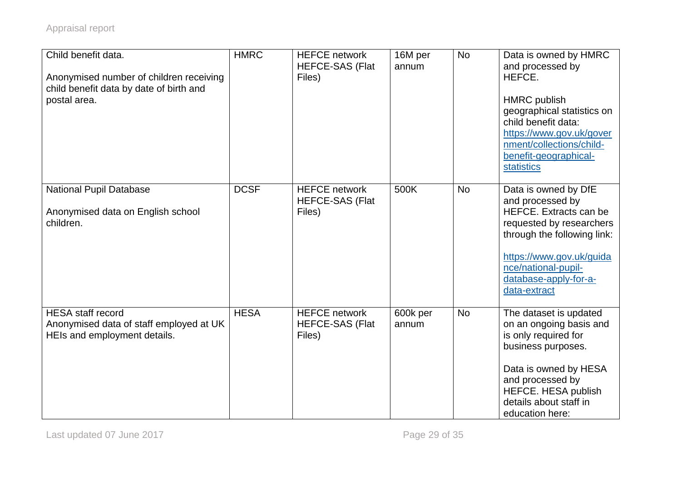| Child benefit data.<br>Anonymised number of children receiving<br>child benefit data by date of birth and<br>postal area. | <b>HMRC</b> | <b>HEFCE network</b><br><b>HEFCE-SAS (Flat</b><br>Files) | 16M per<br>annum  | <b>No</b> | Data is owned by HMRC<br>and processed by<br>HEFCE.<br><b>HMRC</b> publish<br>geographical statistics on<br>child benefit data:<br>https://www.gov.uk/gover<br>nment/collections/child-<br>benefit-geographical-<br>statistics   |
|---------------------------------------------------------------------------------------------------------------------------|-------------|----------------------------------------------------------|-------------------|-----------|----------------------------------------------------------------------------------------------------------------------------------------------------------------------------------------------------------------------------------|
| <b>National Pupil Database</b><br>Anonymised data on English school<br>children.                                          | <b>DCSF</b> | <b>HEFCE network</b><br><b>HEFCE-SAS (Flat</b><br>Files) | 500K              | <b>No</b> | Data is owned by DfE<br>and processed by<br><b>HEFCE.</b> Extracts can be<br>requested by researchers<br>through the following link:<br>https://www.gov.uk/guida<br>nce/national-pupil-<br>database-apply-for-a-<br>data-extract |
| <b>HESA</b> staff record<br>Anonymised data of staff employed at UK<br>HEIs and employment details.                       | <b>HESA</b> | <b>HEFCE network</b><br><b>HEFCE-SAS (Flat</b><br>Files) | 600k per<br>annum | <b>No</b> | The dataset is updated<br>on an ongoing basis and<br>is only required for<br>business purposes.<br>Data is owned by HESA<br>and processed by<br>HEFCE. HESA publish<br>details about staff in<br>education here:                 |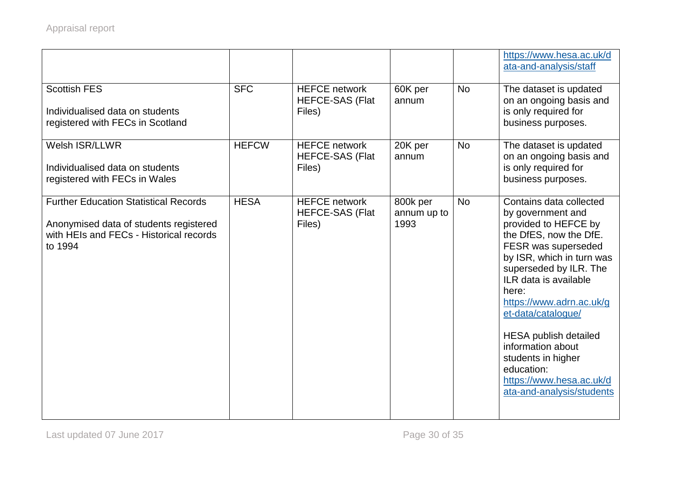|                                                                                                                                              |              |                                                          |                                 |           | https://www.hesa.ac.uk/d<br>ata-and-analysis/staff                                                                                                                                                                                                                                                                                                                                                                 |
|----------------------------------------------------------------------------------------------------------------------------------------------|--------------|----------------------------------------------------------|---------------------------------|-----------|--------------------------------------------------------------------------------------------------------------------------------------------------------------------------------------------------------------------------------------------------------------------------------------------------------------------------------------------------------------------------------------------------------------------|
| <b>Scottish FES</b><br>Individualised data on students<br>registered with FECs in Scotland                                                   | <b>SFC</b>   | <b>HEFCE network</b><br><b>HEFCE-SAS (Flat</b><br>Files) | 60K per<br>annum                | <b>No</b> | The dataset is updated<br>on an ongoing basis and<br>is only required for<br>business purposes.                                                                                                                                                                                                                                                                                                                    |
| Welsh ISR/LLWR<br>Individualised data on students<br>registered with FECs in Wales                                                           | <b>HEFCW</b> | <b>HEFCE network</b><br><b>HEFCE-SAS (Flat</b><br>Files) | 20K per<br>annum                | <b>No</b> | The dataset is updated<br>on an ongoing basis and<br>is only required for<br>business purposes.                                                                                                                                                                                                                                                                                                                    |
| <b>Further Education Statistical Records</b><br>Anonymised data of students registered<br>with HEIs and FECs - Historical records<br>to 1994 | <b>HESA</b>  | <b>HEFCE network</b><br><b>HEFCE-SAS (Flat</b><br>Files) | 800k per<br>annum up to<br>1993 | <b>No</b> | Contains data collected<br>by government and<br>provided to HEFCE by<br>the DfES, now the DfE.<br>FESR was superseded<br>by ISR, which in turn was<br>superseded by ILR. The<br>ILR data is available<br>here:<br>https://www.adrn.ac.uk/g<br>et-data/catalogue/<br><b>HESA publish detailed</b><br>information about<br>students in higher<br>education:<br>https://www.hesa.ac.uk/d<br>ata-and-analysis/students |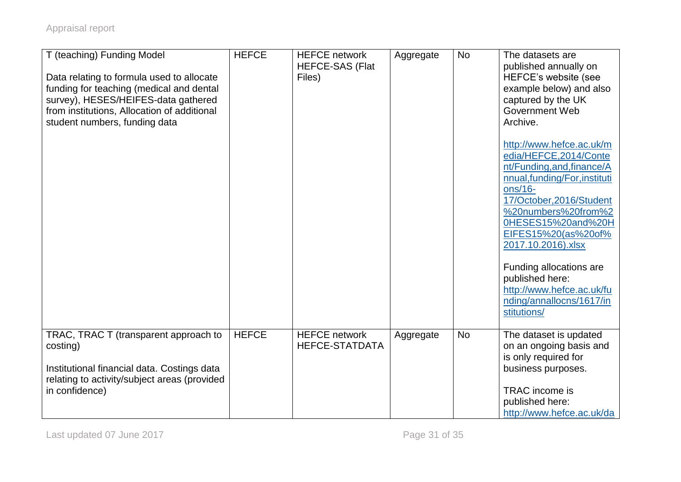| T (teaching) Funding Model<br>Data relating to formula used to allocate<br>funding for teaching (medical and dental<br>survey), HESES/HEIFES-data gathered<br>from institutions, Allocation of additional<br>student numbers, funding data | <b>HEFCE</b> | <b>HEFCE network</b><br><b>HEFCE-SAS (Flat</b><br>Files) | Aggregate | <b>No</b> | The datasets are<br>published annually on<br>HEFCE's website (see<br>example below) and also<br>captured by the UK<br>Government Web<br>Archive.<br>http://www.hefce.ac.uk/m<br>edia/HEFCE,2014/Conte<br>nt/Funding, and, finance/A<br>nnual,funding/For,instituti<br>ons/16-<br>17/October, 2016/Student<br>%20numbers%20from%2<br>0HESES15%20and%20H<br>EIFES15%20(as%20of%<br>2017.10.2016).xlsx<br>Funding allocations are<br>published here:<br>http://www.hefce.ac.uk/fu<br>nding/annallocns/1617/in<br>stitutions/ |
|--------------------------------------------------------------------------------------------------------------------------------------------------------------------------------------------------------------------------------------------|--------------|----------------------------------------------------------|-----------|-----------|---------------------------------------------------------------------------------------------------------------------------------------------------------------------------------------------------------------------------------------------------------------------------------------------------------------------------------------------------------------------------------------------------------------------------------------------------------------------------------------------------------------------------|
| TRAC, TRAC T (transparent approach to<br>costing)<br>Institutional financial data. Costings data<br>relating to activity/subject areas (provided<br>in confidence)                                                                         | <b>HEFCE</b> | <b>HEFCE network</b><br><b>HEFCE-STATDATA</b>            | Aggregate | <b>No</b> | The dataset is updated<br>on an ongoing basis and<br>is only required for<br>business purposes.<br>TRAC income is<br>published here:<br>http://www.hefce.ac.uk/da                                                                                                                                                                                                                                                                                                                                                         |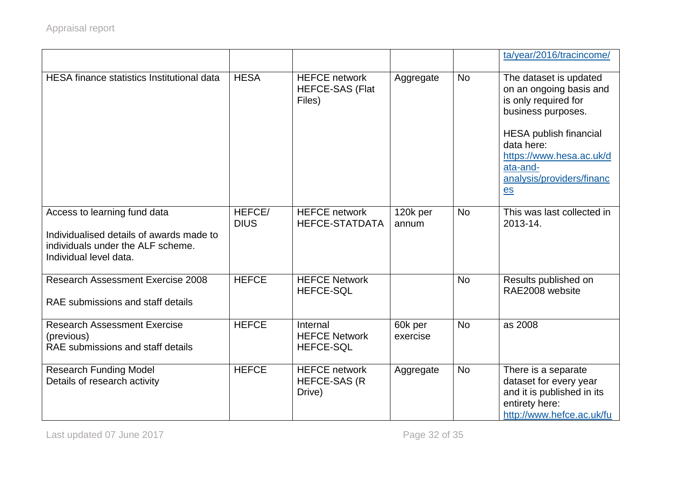|                                                                                                                                         |                       |                                                          |                     |           | ta/year/2016/tracincome/                                                                                                                                                                                                                      |
|-----------------------------------------------------------------------------------------------------------------------------------------|-----------------------|----------------------------------------------------------|---------------------|-----------|-----------------------------------------------------------------------------------------------------------------------------------------------------------------------------------------------------------------------------------------------|
| <b>HESA</b> finance statistics Institutional data                                                                                       | <b>HESA</b>           | <b>HEFCE network</b><br><b>HEFCE-SAS (Flat</b><br>Files) | Aggregate           | <b>No</b> | The dataset is updated<br>on an ongoing basis and<br>is only required for<br>business purposes.<br><b>HESA publish financial</b><br>data here:<br>https://www.hesa.ac.uk/d<br>ata-and-<br>analysis/providers/financ<br>$\mathbf{e}\mathbf{s}$ |
| Access to learning fund data<br>Individualised details of awards made to<br>individuals under the ALF scheme.<br>Individual level data. | HEFCE/<br><b>DIUS</b> | <b>HEFCE network</b><br><b>HEFCE-STATDATA</b>            | 120k per<br>annum   | <b>No</b> | This was last collected in<br>2013-14.                                                                                                                                                                                                        |
| <b>Research Assessment Exercise 2008</b><br>RAE submissions and staff details                                                           | <b>HEFCE</b>          | <b>HEFCE Network</b><br><b>HEFCE-SQL</b>                 |                     | <b>No</b> | Results published on<br>RAE2008 website                                                                                                                                                                                                       |
| <b>Research Assessment Exercise</b><br>(previous)<br>RAE submissions and staff details                                                  | <b>HEFCE</b>          | Internal<br><b>HEFCE Network</b><br><b>HEFCE-SQL</b>     | 60k per<br>exercise | <b>No</b> | as 2008                                                                                                                                                                                                                                       |
| <b>Research Funding Model</b><br>Details of research activity                                                                           | <b>HEFCE</b>          | <b>HEFCE network</b><br><b>HEFCE-SAS (R</b><br>Drive)    | Aggregate           | <b>No</b> | There is a separate<br>dataset for every year<br>and it is published in its<br>entirety here:<br>http://www.hefce.ac.uk/fu                                                                                                                    |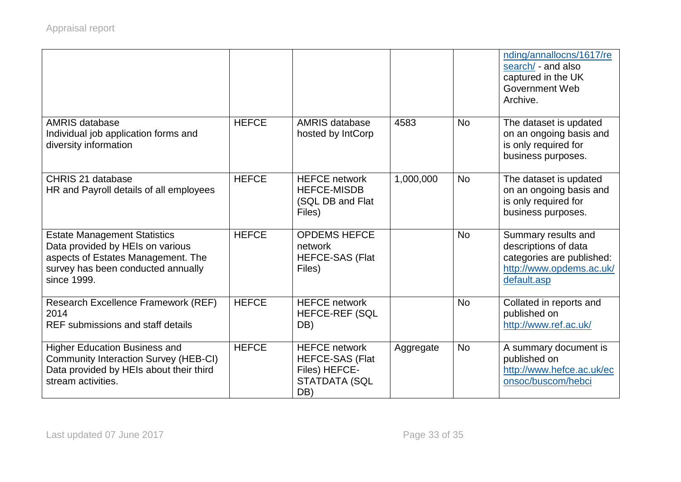|                                                                                                                                                                    |              |                                                                                                |           |           | nding/annallocns/1617/re<br>search/ - and also<br>captured in the UK<br><b>Government Web</b><br>Archive.           |
|--------------------------------------------------------------------------------------------------------------------------------------------------------------------|--------------|------------------------------------------------------------------------------------------------|-----------|-----------|---------------------------------------------------------------------------------------------------------------------|
| <b>AMRIS database</b><br>Individual job application forms and<br>diversity information                                                                             | <b>HEFCE</b> | <b>AMRIS database</b><br>hosted by IntCorp                                                     | 4583      | <b>No</b> | The dataset is updated<br>on an ongoing basis and<br>is only required for<br>business purposes.                     |
| CHRIS 21 database<br>HR and Payroll details of all employees                                                                                                       | <b>HEFCE</b> | <b>HEFCE network</b><br><b>HEFCE-MISDB</b><br>(SQL DB and Flat<br>Files)                       | 1,000,000 | <b>No</b> | The dataset is updated<br>on an ongoing basis and<br>is only required for<br>business purposes.                     |
| <b>Estate Management Statistics</b><br>Data provided by HEIs on various<br>aspects of Estates Management. The<br>survey has been conducted annually<br>since 1999. | <b>HEFCE</b> | <b>OPDEMS HEFCE</b><br>network<br><b>HEFCE-SAS (Flat</b><br>Files)                             |           | <b>No</b> | Summary results and<br>descriptions of data<br>categories are published:<br>http://www.opdems.ac.uk/<br>default.asp |
| Research Excellence Framework (REF)<br>2014<br>REF submissions and staff details                                                                                   | <b>HEFCE</b> | <b>HEFCE network</b><br><b>HEFCE-REF (SQL</b><br>DB)                                           |           | <b>No</b> | Collated in reports and<br>published on<br>http://www.ref.ac.uk/                                                    |
| <b>Higher Education Business and</b><br>Community Interaction Survey (HEB-CI)<br>Data provided by HEIs about their third<br>stream activities.                     | <b>HEFCE</b> | <b>HEFCE network</b><br><b>HEFCE-SAS (Flat</b><br>Files) HEFCE-<br><b>STATDATA (SQL</b><br>DB) | Aggregate | <b>No</b> | A summary document is<br>published on<br>http://www.hefce.ac.uk/ec<br>onsoc/buscom/hebci                            |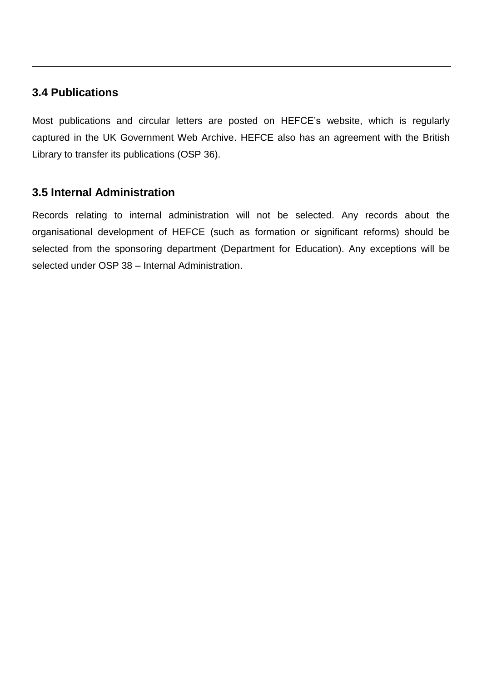#### **3.4 Publications**

Most publications and circular letters are posted on HEFCE's website, which is regularly captured in the UK Government Web Archive. HEFCE also has an agreement with the British Library to transfer its publications (OSP 36).

#### **3.5 Internal Administration**

Records relating to internal administration will not be selected. Any records about the organisational development of HEFCE (such as formation or significant reforms) should be selected from the sponsoring department (Department for Education). Any exceptions will be selected under OSP 38 – Internal Administration.